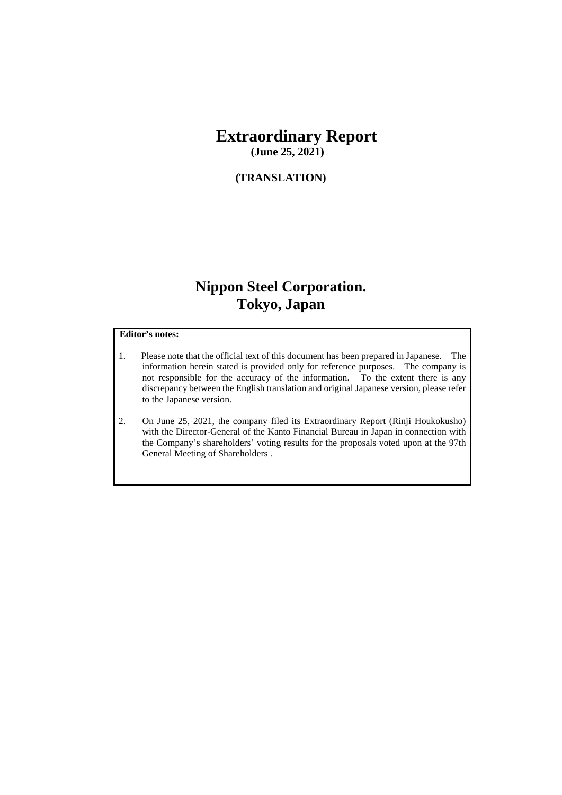# **Extraordinary Report**

**(June 25, 2021)**

#### **(TRANSLATION)**

# **Nippon Steel Corporation. Tokyo, Japan**

#### **Editor's notes:**

- 1. Please note that the official text of this document has been prepared in Japanese. The information herein stated is provided only for reference purposes. The company is not responsible for the accuracy of the information. To the extent there is any discrepancy between the English translation and original Japanese version, please refer to the Japanese version.
- 2. On June 25, 2021, the company filed its Extraordinary Report (Rinji Houkokusho) with the Director-General of the Kanto Financial Bureau in Japan in connection with the Company's shareholders' voting results for the proposals voted upon at the 97th General Meeting of Shareholders .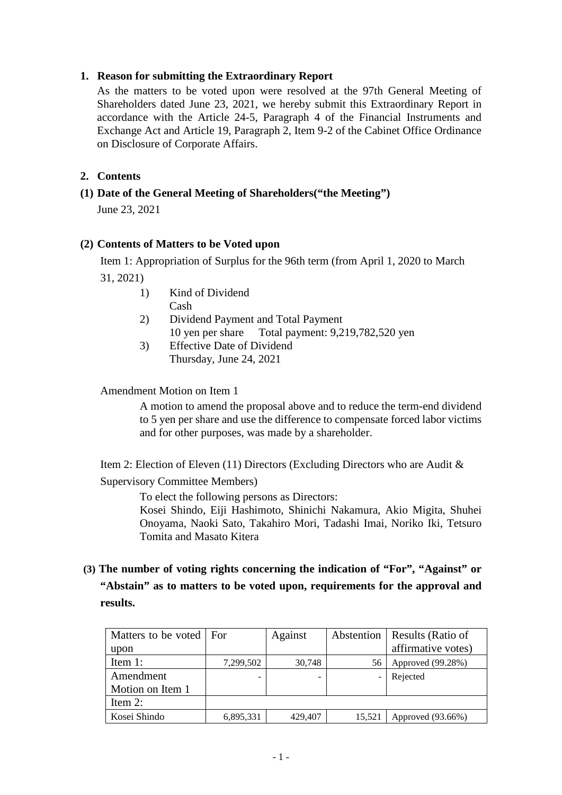#### **1. Reason for submitting the Extraordinary Report**

As the matters to be voted upon were resolved at the 97th General Meeting of Shareholders dated June 23, 2021, we hereby submit this Extraordinary Report in accordance with the Article 24-5, Paragraph 4 of the Financial Instruments and Exchange Act and Article 19, Paragraph 2, Item 9-2 of the Cabinet Office Ordinance on Disclosure of Corporate Affairs.

### **2. Contents**

### **(1) Date of the General Meeting of Shareholders("the Meeting")**

June 23, 2021

#### **(2) Contents of Matters to be Voted upon**

Item 1: Appropriation of Surplus for the 96th term (from April 1, 2020 to March 31, 2021)

- 1) Kind of Dividend Cash
- 2) Dividend Payment and Total Payment 10 yen per share Total payment: 9,219,782,520 yen
- 3) Effective Date of Dividend Thursday, June 24, 2021

#### Amendment Motion on Item 1

A motion to amend the proposal above and to reduce the term-end dividend to 5 yen per share and use the difference to compensate forced labor victims and for other purposes, was made by a shareholder.

Item 2: Election of Eleven (11) Directors (Excluding Directors who are Audit &

Supervisory Committee Members)

To elect the following persons as Directors:

Kosei Shindo, Eiji Hashimoto, Shinichi Nakamura, Akio Migita, Shuhei Onoyama, Naoki Sato, Takahiro Mori, Tadashi Imai, Noriko Iki, Tetsuro Tomita and Masato Kitera

# **(3) The number of voting rights concerning the indication of "For", "Against" or "Abstain" as to matters to be voted upon, requirements for the approval and results.**

| Matters to be voted   For |           | Against |        | Abstention   Results (Ratio of |
|---------------------------|-----------|---------|--------|--------------------------------|
| upon                      |           |         |        | affirmative votes)             |
| Item $1$ :                | 7,299,502 | 30,748  |        | Approved (99.28%)              |
| Amendment                 |           |         |        | Rejected                       |
| Motion on Item 1          |           |         |        |                                |
| Item $2$ :                |           |         |        |                                |
| Kosei Shindo              | 6,895,331 | 429,407 | 15,521 | Approved (93.66%)              |